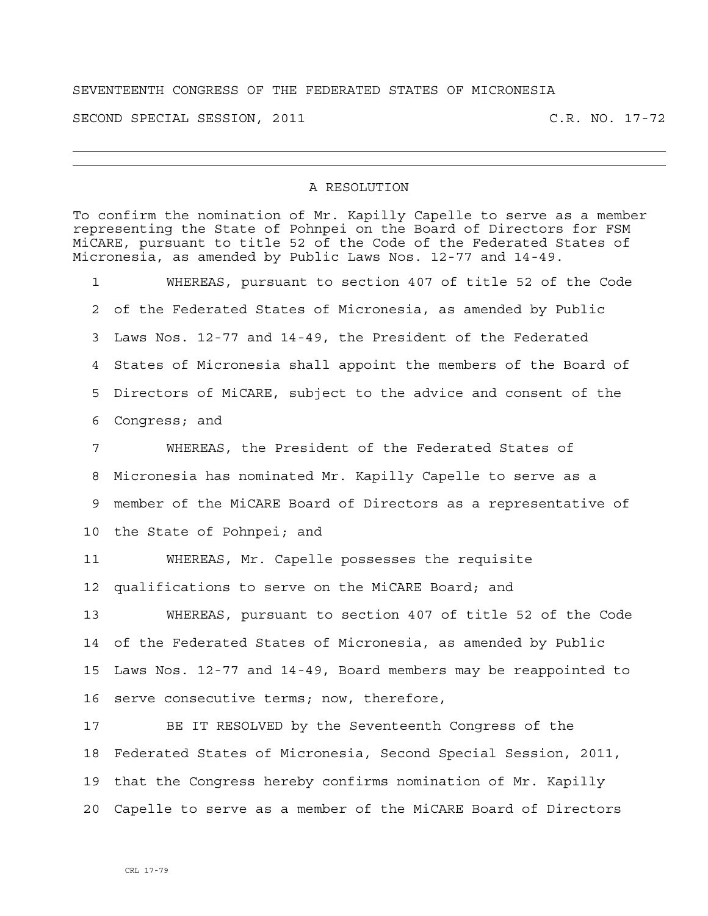## SEVENTEENTH CONGRESS OF THE FEDERATED STATES OF MICRONESIA

SECOND SPECIAL SESSION, 2011 C.R. NO. 17-72

## A RESOLUTION

To confirm the nomination of Mr. Kapilly Capelle to serve as a member representing the State of Pohnpei on the Board of Directors for FSM MiCARE, pursuant to title 52 of the Code of the Federated States of Micronesia, as amended by Public Laws Nos. 12-77 and 14-49. 1 WHEREAS, pursuant to section 407 of title 52 of the Code 2 of the Federated States of Micronesia, as amended by Public 3 Laws Nos. 12-77 and 14-49, the President of the Federated 4 States of Micronesia shall appoint the members of the Board of 5 Directors of MiCARE, subject to the advice and consent of the 6 Congress; and 7 WHEREAS, the President of the Federated States of 8 Micronesia has nominated Mr. Kapilly Capelle to serve as a 9 member of the MiCARE Board of Directors as a representative of 10 the State of Pohnpei; and 11 WHEREAS, Mr. Capelle possesses the requisite 12 qualifications to serve on the MiCARE Board; and 13 WHEREAS, pursuant to section 407 of title 52 of the Code 14 of the Federated States of Micronesia, as amended by Public 15 Laws Nos. 12-77 and 14-49, Board members may be reappointed to 16 serve consecutive terms; now, therefore, 17 BE IT RESOLVED by the Seventeenth Congress of the 18 Federated States of Micronesia, Second Special Session, 2011, 19 that the Congress hereby confirms nomination of Mr. Kapilly 20 Capelle to serve as a member of the MiCARE Board of Directors